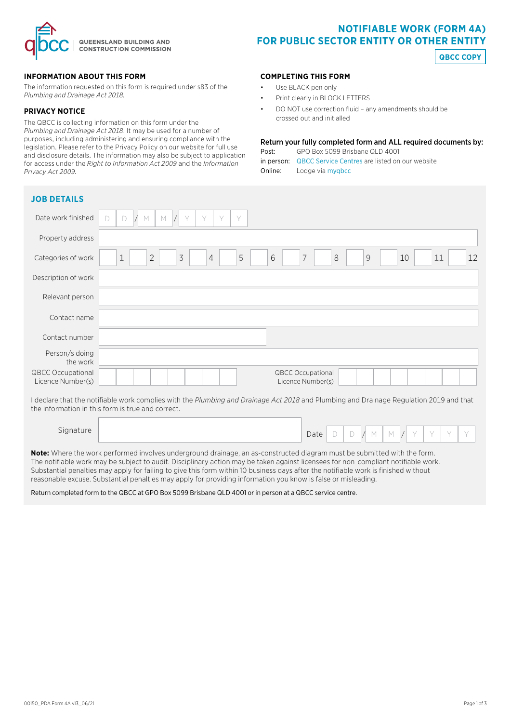

## **INFORMATION ABOUT THIS FORM**

The information requested on this form is required under s83 of the *Plumbing and Drainage Act 2018.* 

## **PRIVACY NOTICE**

The QBCC is collecting information on this form under the *Plumbing and Drainage Act 2018*. It may be used for a number of purposes, including administering and ensuring compliance with the legislation. Please refer to the Privacy Policy on our website for full use and disclosure details. The information may also be subject to application for access under the *Right to Information Act 2009* and the *Information Privacy Act 2009.*

# **NOTIFIABLE WORK (FORM 4A) FOR PUBLIC SECTOR ENTITY OR OTHER ENTITY**

**QBCC COPY**

## **COMPLETING THIS FORM**

- Use BLACK pen only
- Print clearly in BLOCK LETTERS
- DO NOT use correction fluid any amendments should be crossed out and initialled

### Return your fully completed form and ALL required documents by:

| Post:   | GPO Box 5099 Brisbane QLD 4001                            |
|---------|-----------------------------------------------------------|
|         | in person: QBCC Service Centres are listed on our website |
| Online: | Lodge via mygbcc                                          |

| <b>JOB DETAILS</b>                            |                                                                                                                                |
|-----------------------------------------------|--------------------------------------------------------------------------------------------------------------------------------|
| Date work finished                            | $\mathbb M$<br>Y<br>Y<br>Y<br>Y<br>D<br>М<br>D                                                                                 |
| Property address                              |                                                                                                                                |
| Categories of work                            | $\preceq$<br>5<br>6<br>$\overline{7}$<br>8<br>$\overline{2}$<br>$\mathcal{G}$<br>12<br>$\sqrt{4}$<br>$1\,$<br>10<br>11         |
| Description of work                           |                                                                                                                                |
| Relevant person                               |                                                                                                                                |
| Contact name                                  |                                                                                                                                |
| Contact number                                |                                                                                                                                |
| Person/s doing<br>the work                    |                                                                                                                                |
| <b>QBCC Occupational</b><br>Licence Number(s) | <b>QBCC Occupational</b><br>Licence Number(s)                                                                                  |
|                                               | This class that the scattle hold concentrates the Charles of Distance AntiOCO and Disable and Distance Department OCO and then |

I declare that the notifiable work complies with the *Plumbing and Drainage Act 2018* and Plumbing and Drainage Regulation 2019 and that the information in this form is true and correct.

| Signature | Date | $\sim$ | $\sim$ |  |  |  |  |
|-----------|------|--------|--------|--|--|--|--|
|           |      |        | └      |  |  |  |  |

**Note:** Where the work performed involves underground drainage, an as-constructed diagram must be submitted with the form. The notifiable work may be subject to audit. Disciplinary action may be taken against licensees for non-compliant notifiable work. Substantial penalties may apply for failing to give this form within 10 business days after the notifiable work is finished without reasonable excuse. Substantial penalties may apply for providing information you know is false or misleading.

Return completed form to the QBCC at GPO Box 5099 Brisbane QLD 4001 or in person at a QBCC service centre.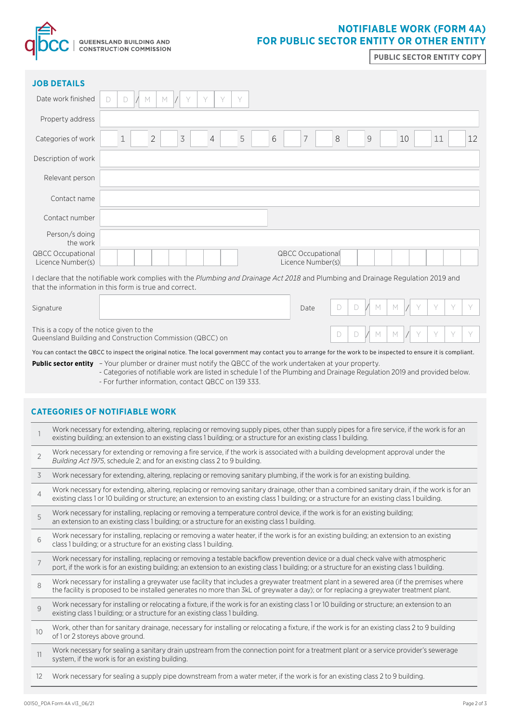

## **NOTIFIABLE WORK (FORM 4A) FOR PUBLIC SECTOR ENTITY OR OTHER ENTITY**

**PUBLIC SECTOR ENTITY COPY**

| <b>JOB DETAILS</b>                                                                                                                                                                          |                                                                                                                                                                                |  |  |  |  |
|---------------------------------------------------------------------------------------------------------------------------------------------------------------------------------------------|--------------------------------------------------------------------------------------------------------------------------------------------------------------------------------|--|--|--|--|
| Date work finished                                                                                                                                                                          | Y<br>$\vee$<br>Y<br>M<br>M<br>Y<br>D<br>D                                                                                                                                      |  |  |  |  |
| Property address                                                                                                                                                                            |                                                                                                                                                                                |  |  |  |  |
| Categories of work                                                                                                                                                                          | $\overline{2}$<br>$\overline{\mathcal{S}}$<br>5<br>6<br>7<br>$\mathcal{G}% _{M_{1},M_{2}}^{\alpha,\beta}(\mathcal{G})$<br>12<br>$\mathbf 1$<br>$\overline{4}$<br>8<br>11<br>10 |  |  |  |  |
| Description of work                                                                                                                                                                         |                                                                                                                                                                                |  |  |  |  |
| Relevant person                                                                                                                                                                             |                                                                                                                                                                                |  |  |  |  |
| Contact name                                                                                                                                                                                |                                                                                                                                                                                |  |  |  |  |
| Contact number                                                                                                                                                                              |                                                                                                                                                                                |  |  |  |  |
| Person/s doing<br>the work                                                                                                                                                                  |                                                                                                                                                                                |  |  |  |  |
| <b>QBCC Occupational</b><br>Licence Number(s)                                                                                                                                               | <b>QBCC Occupational</b><br>Licence Number(s)                                                                                                                                  |  |  |  |  |
| I declare that the notifiable work complies with the Plumbing and Drainage Act 2018 and Plumbing and Drainage Regulation 2019 and<br>that the information in this form is true and correct. |                                                                                                                                                                                |  |  |  |  |
| Signature                                                                                                                                                                                   | M<br>Y<br>Y<br>D<br>M<br>Y<br>D<br>Date                                                                                                                                        |  |  |  |  |
| This is a copy of the notice given to the<br>Y<br>V<br>Y<br>M<br>D<br>D<br>M<br>Queensland Building and Construction Commission (QBCC) on                                                   |                                                                                                                                                                                |  |  |  |  |
| You can contact the QBCC to inspect the original notice. The local government may contact you to arrange for the work to be inspected to ensure it is compliant.                            |                                                                                                                                                                                |  |  |  |  |

- **Public sector entity**  Your plumber or drainer must notify the QBCC of the work undertaken at your property.
	- Categories of notifiable work are listed in schedule 1 of the Plumbing and Drainage Regulation 2019 and provided below. - For further information, contact QBCC on 139 333.

## **CATEGORIES OF NOTIFIABLE WORK**

|                | Work necessary for extending, altering, replacing or removing supply pipes, other than supply pipes for a fire service, if the work is for an<br>existing building; an extension to an existing class 1 building; or a structure for an existing class 1 building.                           |
|----------------|----------------------------------------------------------------------------------------------------------------------------------------------------------------------------------------------------------------------------------------------------------------------------------------------|
| $\overline{2}$ | Work necessary for extending or removing a fire service, if the work is associated with a building development approval under the<br>Building Act 1975, schedule 2; and for an existing class 2 to 9 building.                                                                               |
| 3              | Work necessary for extending, altering, replacing or removing sanitary plumbing, if the work is for an existing building.                                                                                                                                                                    |
| $\overline{4}$ | Work necessary for extending, altering, replacing or removing sanitary drainage, other than a combined sanitary drain, if the work is for an<br>existing class 1 or 10 building or structure; an extension to an existing class 1 building; or a structure for an existing class 1 building. |
| 5              | Work necessary for installing, replacing or removing a temperature control device, if the work is for an existing building;<br>an extension to an existing class 1 building; or a structure for an existing class 1 building.                                                                |
| 6              | Work necessary for installing, replacing or removing a water heater, if the work is for an existing building; an extension to an existing<br>class 1 building; or a structure for an existing class 1 building.                                                                              |
| $\overline{7}$ | Work necessary for installing, replacing or removing a testable backflow prevention device or a dual check valve with atmospheric<br>port, if the work is for an existing building; an extension to an existing class 1 building; or a structure for an existing class 1 building.           |
| 8              | Work necessary for installing a greywater use facility that includes a greywater treatment plant in a sewered area (if the premises where<br>the facility is proposed to be installed generates no more than 3kL of greywater a day); or for replacing a greywater treatment plant.          |
| 9              | Work necessary for installing or relocating a fixture, if the work is for an existing class 1 or 10 building or structure; an extension to an<br>existing class 1 building; or a structure for an existing class 1 building.                                                                 |
| 10             | Work, other than for sanitary drainage, necessary for installing or relocating a fixture, if the work is for an existing class 2 to 9 building<br>of 1 or 2 storeys above ground.                                                                                                            |
| 11             | Work necessary for sealing a sanitary drain upstream from the connection point for a treatment plant or a service provider's sewerage<br>system, if the work is for an existing building.                                                                                                    |
| 12             | Work necessary for sealing a supply pipe downstream from a water meter, if the work is for an existing class 2 to 9 building.                                                                                                                                                                |